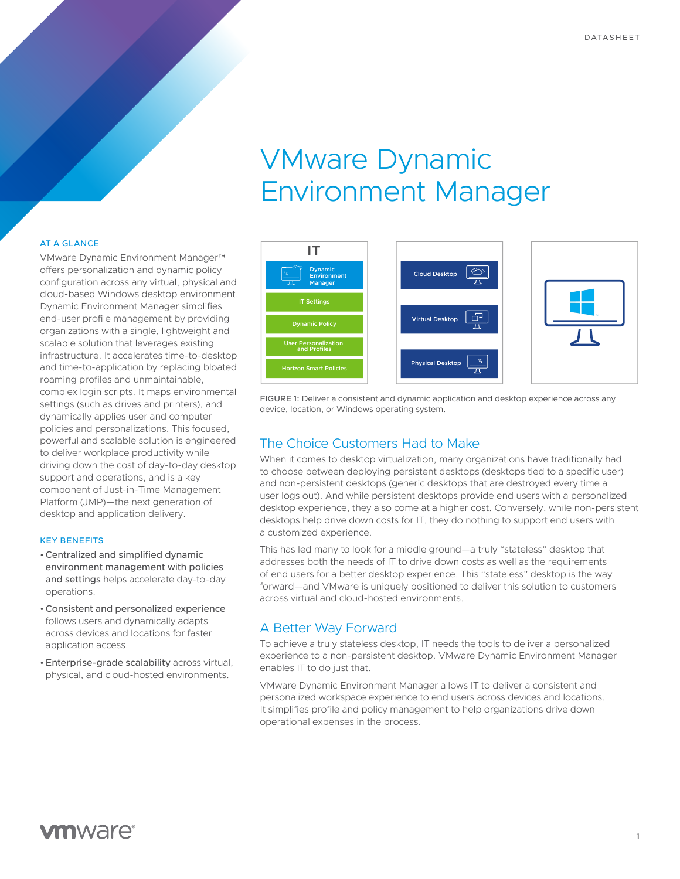# VMware Dynamic Environment Manager

#### AT A GLANCE

VMware Dynamic Environment Manager™ offers personalization and dynamic policy configuration across any virtual, physical and cloud-based Windows desktop environment. Dynamic Environment Manager simplifies end-user profile management by providing organizations with a single, lightweight and scalable solution that leverages existing infrastructure. It accelerates time-to-desktop and time-to-application by replacing bloated roaming profiles and unmaintainable, complex login scripts. It maps environmental settings (such as drives and printers), and dynamically applies user and computer policies and personalizations. This focused, powerful and scalable solution is engineered to deliver workplace productivity while driving down the cost of day-to-day desktop support and operations, and is a key component of Just-in-Time Management Platform (JMP)—the next generation of desktop and application delivery.

#### KEY BENEFITS

- •Centralized and simplified dynamic environment management with policies and settings helps accelerate day-to-day operations.
- •Consistent and personalized experience follows users and dynamically adapts across devices and locations for faster application access.
- •Enterprise-grade scalability across virtual, physical, and cloud-hosted environments.



FIGURE 1: Deliver a consistent and dynamic application and desktop experience across any device, location, or Windows operating system.

# The Choice Customers Had to Make

When it comes to desktop virtualization, many organizations have traditionally had to choose between deploying persistent desktops (desktops tied to a specific user) and non-persistent desktops (generic desktops that are destroyed every time a user logs out). And while persistent desktops provide end users with a personalized desktop experience, they also come at a higher cost. Conversely, while non-persistent desktops help drive down costs for IT, they do nothing to support end users with a customized experience.

This has led many to look for a middle ground—a truly "stateless" desktop that addresses both the needs of IT to drive down costs as well as the requirements of end users for a better desktop experience. This "stateless" desktop is the way forward—and VMware is uniquely positioned to deliver this solution to customers across virtual and cloud-hosted environments.

# A Better Way Forward

To achieve a truly stateless desktop, IT needs the tools to deliver a personalized experience to a non-persistent desktop. VMware Dynamic Environment Manager enables IT to do just that.

VMware Dynamic Environment Manager allows IT to deliver a consistent and personalized workspace experience to end users across devices and locations. It simplifies profile and policy management to help organizations drive down operational expenses in the process.

# **vm**ware<sup>®</sup>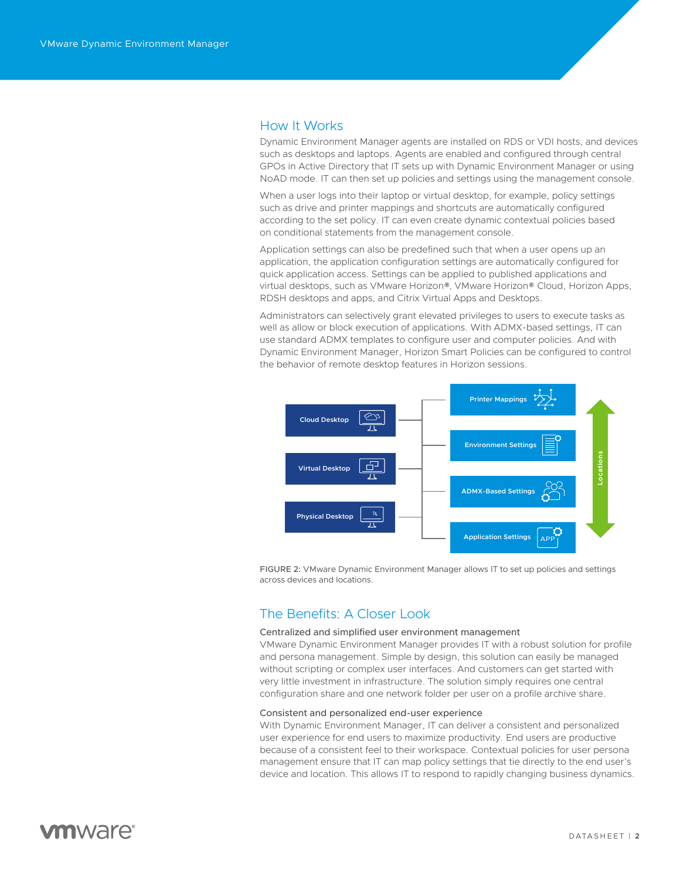# How It Works

Dynamic Environment Manager agents are installed on RDS or VDI hosts, and devices such as desktops and laptops. Agents are enabled and configured through central GPOs in Active Directory that IT sets up with Dynamic Environment Manager or using NoAD mode. IT can then set up policies and settings using the management console.

When a user logs into their laptop or virtual desktop, for example, policy settings such as drive and printer mappings and shortcuts are automatically configured according to the set policy. IT can even create dynamic contextual policies based on conditional statements from the management console.

Application settings can also be predefined such that when a user opens up an application, the application configuration settings are automatically configured for quick application access. Settings can be applied to published applications and virtual desktops, such as VMware Horizon®, VMware Horizon® Cloud, Horizon Apps, RDSH desktops and apps, and Citrix Virtual Apps and Desktops.

Administrators can selectively grant elevated privileges to users to execute tasks as well as allow or block execution of applications. With ADMX-based settings, IT can use standard ADMX templates to configure user and computer policies. And with Dynamic Environment Manager, Horizon Smart Policies can be configured to control the behavior of remote desktop features in Horizon sessions.



FIGURE 2: VMware Dynamic Environment Manager allows IT to set up policies and settings across devices and locations.

# The Benefits: A Closer Look

#### Centralized and simplified user environment management

VMware Dynamic Environment Manager provides IT with a robust solution for profile and persona management. Simple by design, this solution can easily be managed without scripting or complex user interfaces. And customers can get started with very little investment in infrastructure. The solution simply requires one central configuration share and one network folder per user on a profile archive share.

#### Consistent and personalized end-user experience

With Dynamic Environment Manager, IT can deliver a consistent and personalized user experience for end users to maximize productivity. End users are productive because of a consistent feel to their workspace. Contextual policies for user persona management ensure that IT can map policy settings that tie directly to the end user's device and location. This allows IT to respond to rapidly changing business dynamics.